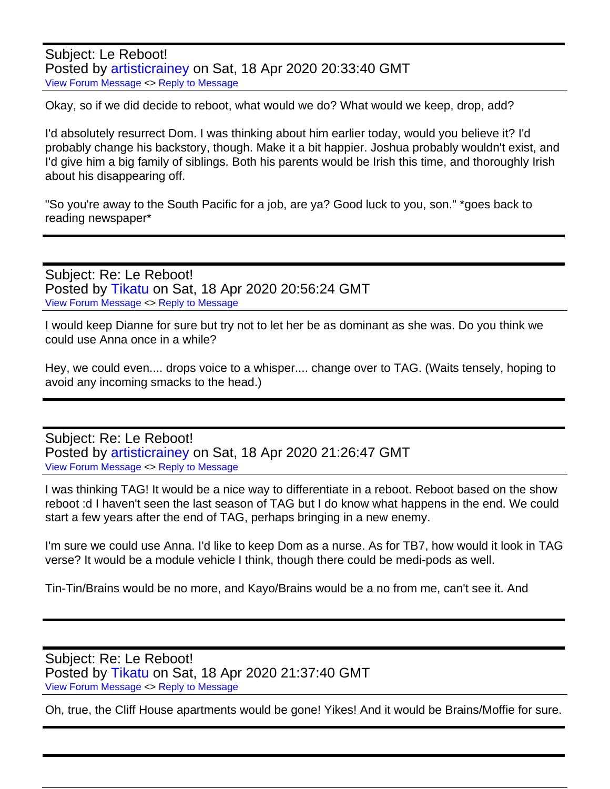Subject: Le Reboot! Posted by [artisticrainey](http://irnextphase.tikatu.com/fudforum/index.php?t=usrinfo&id=7) on Sat, 18 Apr 2020 20:33:40 GMT [View Forum Message](http://irnextphase.tikatu.com/fudforum/index.php?t=rview&th=106&goto=2563#msg_2563) <> [Reply to Message](http://irnextphase.tikatu.com/fudforum/index.php?t=post&reply_to=2563)

Okay, so if we did decide to reboot, what would we do? What would we keep, drop, add?

I'd absolutely resurrect Dom. I was thinking about him earlier today, would you believe it? I'd probably change his backstory, though. Make it a bit happier. Joshua probably wouldn't exist, and I'd give him a big family of siblings. Both his parents would be Irish this time, and thoroughly Irish about his disappearing off.

"So you're away to the South Pacific for a job, are ya? Good luck to you, son." \*goes back to reading newspaper\*

Subject: Re: Le Reboot! Posted by [Tikatu](http://irnextphase.tikatu.com/fudforum/index.php?t=usrinfo&id=6) on Sat, 18 Apr 2020 20:56:24 GMT [View Forum Message](http://irnextphase.tikatu.com/fudforum/index.php?t=rview&th=106&goto=2565#msg_2565) <> [Reply to Message](http://irnextphase.tikatu.com/fudforum/index.php?t=post&reply_to=2565)

I would keep Dianne for sure but try not to let her be as dominant as she was. Do you think we could use Anna once in a while?

Hey, we could even.... drops voice to a whisper.... change over to TAG. (Waits tensely, hoping to avoid any incoming smacks to the head.)

Subject: Re: Le Reboot! Posted by [artisticrainey](http://irnextphase.tikatu.com/fudforum/index.php?t=usrinfo&id=7) on Sat, 18 Apr 2020 21:26:47 GMT [View Forum Message](http://irnextphase.tikatu.com/fudforum/index.php?t=rview&th=106&goto=2566#msg_2566) <> [Reply to Message](http://irnextphase.tikatu.com/fudforum/index.php?t=post&reply_to=2566)

I was thinking TAG! It would be a nice way to differentiate in a reboot. Reboot based on the show reboot :d I haven't seen the last season of TAG but I do know what happens in the end. We could start a few years after the end of TAG, perhaps bringing in a new enemy.

I'm sure we could use Anna. I'd like to keep Dom as a nurse. As for TB7, how would it look in TAG verse? It would be a module vehicle I think, though there could be medi-pods as well.

Tin-Tin/Brains would be no more, and Kayo/Brains would be a no from me, can't see it. And

Subject: Re: Le Reboot! Posted by [Tikatu](http://irnextphase.tikatu.com/fudforum/index.php?t=usrinfo&id=6) on Sat, 18 Apr 2020 21:37:40 GMT [View Forum Message](http://irnextphase.tikatu.com/fudforum/index.php?t=rview&th=106&goto=2567#msg_2567) <> [Reply to Message](http://irnextphase.tikatu.com/fudforum/index.php?t=post&reply_to=2567)

Oh, true, the Cliff House apartments would be gone! Yikes! And it would be Brains/Moffie for sure.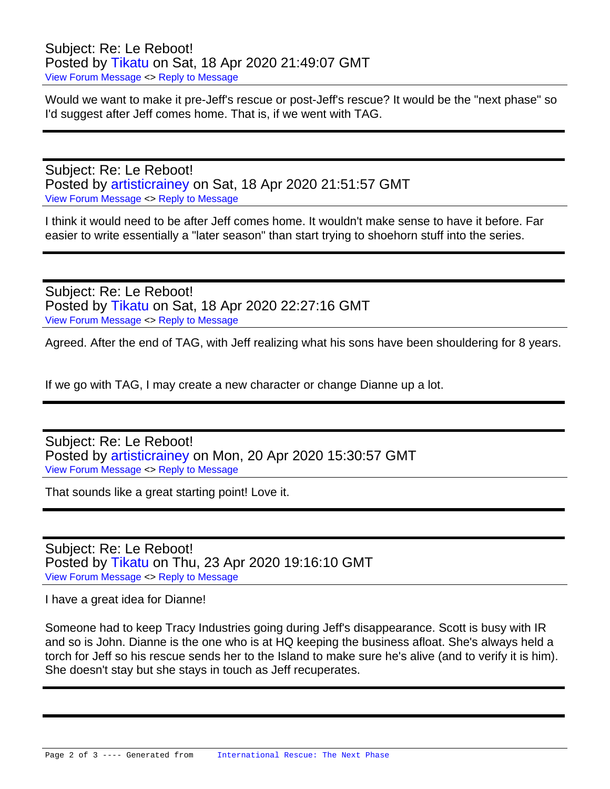Subject: Re: Le Reboot! Posted by [Tikatu](http://irnextphase.tikatu.com/fudforum/index.php?t=usrinfo&id=6) on Sat, 18 Apr 2020 21:49:07 GMT [View Forum Message](http://irnextphase.tikatu.com/fudforum/index.php?t=rview&th=106&goto=2568#msg_2568) <> [Reply to Message](http://irnextphase.tikatu.com/fudforum/index.php?t=post&reply_to=2568)

Would we want to make it pre-Jeff's rescue or post-Jeff's rescue? It would be the "next phase" so I'd suggest after Jeff comes home. That is, if we went with TAG.

Subject: Re: Le Reboot! Posted by [artisticrainey](http://irnextphase.tikatu.com/fudforum/index.php?t=usrinfo&id=7) on Sat, 18 Apr 2020 21:51:57 GMT [View Forum Message](http://irnextphase.tikatu.com/fudforum/index.php?t=rview&th=106&goto=2569#msg_2569) <> [Reply to Message](http://irnextphase.tikatu.com/fudforum/index.php?t=post&reply_to=2569)

I think it would need to be after Jeff comes home. It wouldn't make sense to have it before. Far easier to write essentially a "later season" than start trying to shoehorn stuff into the series.

Subject: Re: Le Reboot! Posted by [Tikatu](http://irnextphase.tikatu.com/fudforum/index.php?t=usrinfo&id=6) on Sat, 18 Apr 2020 22:27:16 GMT [View Forum Message](http://irnextphase.tikatu.com/fudforum/index.php?t=rview&th=106&goto=2570#msg_2570) <> [Reply to Message](http://irnextphase.tikatu.com/fudforum/index.php?t=post&reply_to=2570)

Agreed. After the end of TAG, with Jeff realizing what his sons have been shouldering for 8 years.

If we go with TAG, I may create a new character or change Dianne up a lot.

Subject: Re: Le Reboot! Posted by [artisticrainey](http://irnextphase.tikatu.com/fudforum/index.php?t=usrinfo&id=7) on Mon, 20 Apr 2020 15:30:57 GMT [View Forum Message](http://irnextphase.tikatu.com/fudforum/index.php?t=rview&th=106&goto=2571#msg_2571) <> [Reply to Message](http://irnextphase.tikatu.com/fudforum/index.php?t=post&reply_to=2571)

That sounds like a great starting point! Love it.

Subject: Re: Le Reboot! Posted by [Tikatu](http://irnextphase.tikatu.com/fudforum/index.php?t=usrinfo&id=6) on Thu, 23 Apr 2020 19:16:10 GMT [View Forum Message](http://irnextphase.tikatu.com/fudforum/index.php?t=rview&th=106&goto=2572#msg_2572) <> [Reply to Message](http://irnextphase.tikatu.com/fudforum/index.php?t=post&reply_to=2572)

I have a great idea for Dianne!

Someone had to keep Tracy Industries going during Jeff's disappearance. Scott is busy with IR and so is John. Dianne is the one who is at HQ keeping the business afloat. She's always held a torch for Jeff so his rescue sends her to the Island to make sure he's alive (and to verify it is him). She doesn't stay but she stays in touch as Jeff recuperates.